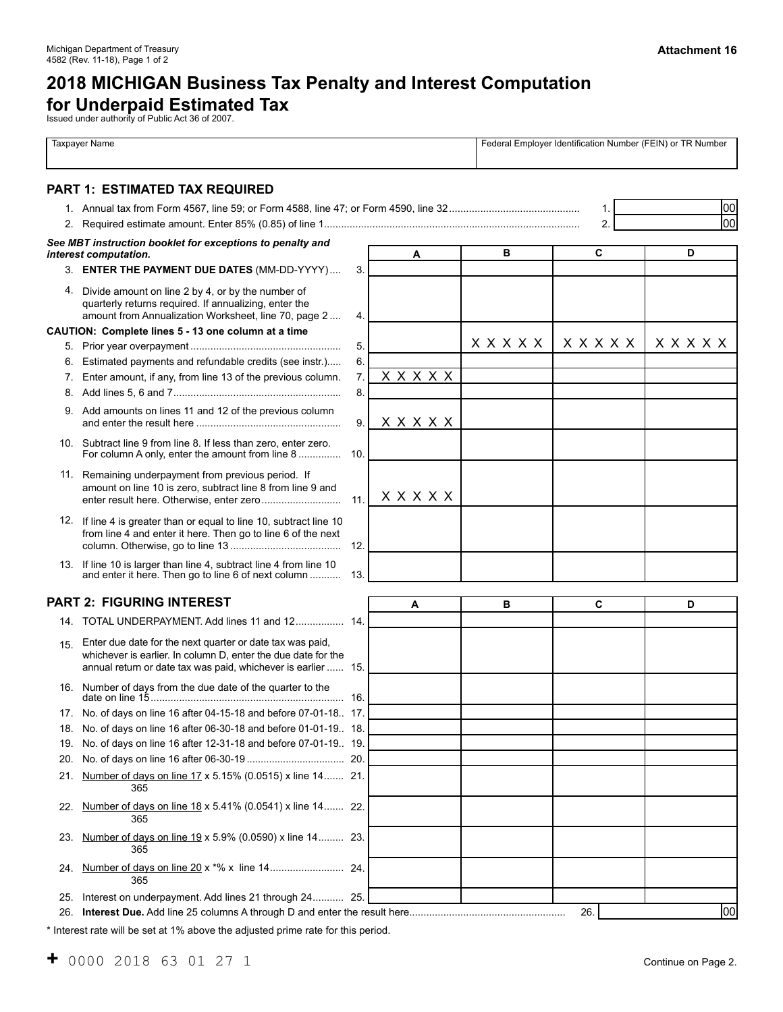# <span id="page-0-0"></span>**2018 MICHIGAN Business Tax Penalty and Interest Computation**

**for Underpaid Estimated Tax** Issued under authority of Public Act 36 of 2007.

|     | <b>Taxpayer Name</b>                                                                                                                                                                        |     | Federal Employer Identification Number (FEIN) or TR Number |              |              |              |  |
|-----|---------------------------------------------------------------------------------------------------------------------------------------------------------------------------------------------|-----|------------------------------------------------------------|--------------|--------------|--------------|--|
|     | <b>PART 1: ESTIMATED TAX REQUIRED</b>                                                                                                                                                       |     |                                                            |              |              |              |  |
|     |                                                                                                                                                                                             |     |                                                            |              | 1.           | 00           |  |
|     |                                                                                                                                                                                             |     |                                                            |              | 2.           | loo          |  |
|     | See MBT instruction booklet for exceptions to penalty and                                                                                                                                   |     |                                                            |              |              |              |  |
|     | interest computation.                                                                                                                                                                       |     | A                                                          | в            | C            | D            |  |
|     | 3. ENTER THE PAYMENT DUE DATES (MM-DD-YYYY)                                                                                                                                                 | 3.  |                                                            |              |              |              |  |
|     | 4. Divide amount on line 2 by 4, or by the number of<br>quarterly returns required. If annualizing, enter the<br>amount from Annualization Worksheet, line 70, page 2                       | 4.  |                                                            |              |              |              |  |
|     | CAUTION: Complete lines 5 - 13 one column at a time                                                                                                                                         |     |                                                            |              |              |              |  |
|     |                                                                                                                                                                                             | 5.  |                                                            | <b>XXXXX</b> | <b>XXXXX</b> | <b>XXXXX</b> |  |
| 6.  | Estimated payments and refundable credits (see instr.)                                                                                                                                      | 6.  |                                                            |              |              |              |  |
| 7.  | Enter amount, if any, from line 13 of the previous column.                                                                                                                                  | 7.  | <b>XXXXX</b>                                               |              |              |              |  |
| 8.  |                                                                                                                                                                                             | 8.  |                                                            |              |              |              |  |
|     | 9. Add amounts on lines 11 and 12 of the previous column                                                                                                                                    | 9.  | <b>XXXXX</b>                                               |              |              |              |  |
|     | 10. Subtract line 9 from line 8. If less than zero, enter zero.<br>For column A only, enter the amount from line 8                                                                          | 10. |                                                            |              |              |              |  |
|     | 11. Remaining underpayment from previous period. If<br>amount on line 10 is zero, subtract line 8 from line 9 and                                                                           | 11. | <b>XXXXX</b>                                               |              |              |              |  |
|     | 12. If line 4 is greater than or equal to line 10, subtract line 10<br>from line 4 and enter it here. Then go to line 6 of the next                                                         | 12. |                                                            |              |              |              |  |
|     | 13. If line 10 is larger than line 4, subtract line 4 from line 10<br>and enter it here. Then go to line 6 of next column                                                                   | 13. |                                                            |              |              |              |  |
|     | <b>PART 2: FIGURING INTEREST</b>                                                                                                                                                            |     | A                                                          | в            | C            | D            |  |
|     | 14. TOTAL UNDERPAYMENT. Add lines 11 and 12 14.                                                                                                                                             |     |                                                            |              |              |              |  |
| 15. | Enter due date for the next quarter or date tax was paid.<br>whichever is earlier. In column D, enter the due date for the<br>annual return or date tax was paid, whichever is earlier  15. |     |                                                            |              |              |              |  |
|     | 16. Number of days from the due date of the quarter to the                                                                                                                                  |     |                                                            |              |              |              |  |
|     | 17. No. of days on line 16 after 04-15-18 and before 07-01-18 17.                                                                                                                           |     |                                                            |              |              |              |  |
| 18. | No. of days on line 16 after 06-30-18 and before 01-01-19 18.                                                                                                                               |     |                                                            |              |              |              |  |
| 19. | No. of days on line 16 after 12-31-18 and before 07-01-19 19.                                                                                                                               |     |                                                            |              |              |              |  |
| 20. |                                                                                                                                                                                             | 20. |                                                            |              |              |              |  |
| 21. | Number of days on line 17 x 5.15% (0.0515) x line 14 21.<br>365                                                                                                                             |     |                                                            |              |              |              |  |
| 22. | Number of days on line 18 x 5.41% (0.0541) x line 14 22.<br>365                                                                                                                             |     |                                                            |              |              |              |  |
| 23. | Number of days on line 19 x 5.9% (0.0590) x line 14 23.<br>365                                                                                                                              |     |                                                            |              |              |              |  |
| 24. | 365                                                                                                                                                                                         |     |                                                            |              |              |              |  |
| 25. | Interest on underpayment. Add lines 21 through 24 25.                                                                                                                                       |     |                                                            |              |              |              |  |
| 26. |                                                                                                                                                                                             |     |                                                            |              | 26.          | 00           |  |

\* Interest rate will be set at 1% above the adjusted prime rate for this period.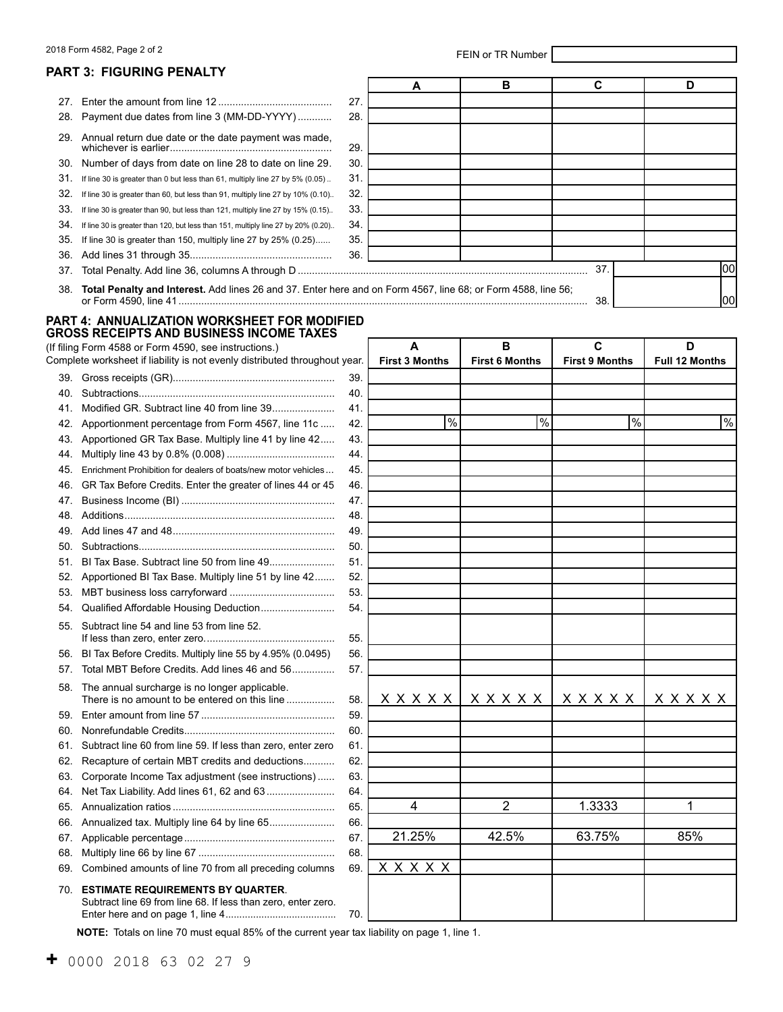# <span id="page-1-0"></span>2018 Form 4582, Page 2 of 2 and 2 and 2 and 2 and 2 and 2 and 2 and 2 and 2 and 2 and 2 and 2 and 2 and 2 and 2 and 2 and 2 and 2 and 2 and 2 and 2 and 2 and 2 and 2 and 2 and 2 and 2 and 2 and 2 and 2 and 2 and 2 and 2 an

|     | <b>PART 3: FIGURING PENALTY</b>                                                                                                                     |     |                            |                            |                                       |   |                            |
|-----|-----------------------------------------------------------------------------------------------------------------------------------------------------|-----|----------------------------|----------------------------|---------------------------------------|---|----------------------------|
|     |                                                                                                                                                     |     | A                          | в                          | С                                     |   | D                          |
| 27. |                                                                                                                                                     | 27. |                            |                            |                                       |   |                            |
| 28. | Payment due dates from line 3 (MM-DD-YYYY)                                                                                                          | 28. |                            |                            |                                       |   |                            |
| 29. | Annual return due date or the date payment was made,                                                                                                | 29. |                            |                            |                                       |   |                            |
| 30. | Number of days from date on line 28 to date on line 29.                                                                                             | 30. |                            |                            |                                       |   |                            |
| 31. |                                                                                                                                                     | 31. |                            |                            |                                       |   |                            |
| 32. | If line 30 is greater than 0 but less than 61, multiply line 27 by 5% (0.05).                                                                       | 32. |                            |                            |                                       |   |                            |
| 33. | If line 30 is greater than 60, but less than 91, multiply line 27 by 10% (0.10)                                                                     | 33. |                            |                            |                                       |   |                            |
| 34. | If line 30 is greater than 90, but less than 121, multiply line 27 by 15% (0.15)                                                                    | 34. |                            |                            |                                       |   |                            |
| 35. | If line 30 is greater than 120, but less than 151, multiply line 27 by 20% (0.20)<br>If line 30 is greater than 150, multiply line 27 by 25% (0.25) | 35. |                            |                            |                                       |   |                            |
| 36. |                                                                                                                                                     | 36. |                            |                            |                                       |   |                            |
| 37. |                                                                                                                                                     |     |                            |                            | 37.                                   |   | 100                        |
| 38. | Total Penalty and Interest. Add lines 26 and 37. Enter here and on Form 4567, line 68; or Form 4588, line 56;                                       |     |                            |                            | 38.                                   |   | 1001                       |
|     | <b>PART 4: ANNUALIZATION WORKSHEET FOR MODIFIED</b>                                                                                                 |     |                            |                            |                                       |   |                            |
|     | <b>GROSS RECEIPTS AND BUSINESS INCOME TAXES</b>                                                                                                     |     |                            |                            |                                       |   |                            |
|     | (If filing Form 4588 or Form 4590, see instructions.)<br>Complete worksheet if liability is not evenly distributed throughout year.                 |     | A<br><b>First 3 Months</b> | B<br><b>First 6 Months</b> | $\mathbf{C}$<br><b>First 9 Months</b> |   | D<br><b>Full 12 Months</b> |
| 39. |                                                                                                                                                     | 39. |                            |                            |                                       |   |                            |
| 40. |                                                                                                                                                     | 40. |                            |                            |                                       |   |                            |
| 41. |                                                                                                                                                     | 41. |                            |                            |                                       |   |                            |
| 42. | Apportionment percentage from Form 4567, line 11c                                                                                                   | 42. | $\frac{9}{6}$              | $\frac{0}{0}$              |                                       | % | %                          |
| 43. | Apportioned GR Tax Base. Multiply line 41 by line 42                                                                                                | 43. |                            |                            |                                       |   |                            |
| 44. |                                                                                                                                                     | 44. |                            |                            |                                       |   |                            |
| 45. | Enrichment Prohibition for dealers of boats/new motor vehicles                                                                                      | 45. |                            |                            |                                       |   |                            |
| 46. | GR Tax Before Credits. Enter the greater of lines 44 or 45                                                                                          | 46. |                            |                            |                                       |   |                            |
| 47. |                                                                                                                                                     | 47. |                            |                            |                                       |   |                            |
| 48. |                                                                                                                                                     | 48. |                            |                            |                                       |   |                            |
| 49. |                                                                                                                                                     | 49. |                            |                            |                                       |   |                            |
| 50. |                                                                                                                                                     | 50. |                            |                            |                                       |   |                            |
| 51. |                                                                                                                                                     | 51. |                            |                            |                                       |   |                            |
| 52. | Apportioned BI Tax Base. Multiply line 51 by line 42                                                                                                | 52. |                            |                            |                                       |   |                            |
| 53. |                                                                                                                                                     | 53. |                            |                            |                                       |   |                            |
| 54. | Qualified Affordable Housing Deduction                                                                                                              | 54. |                            |                            |                                       |   |                            |
|     | 55. Subtract line 54 and line 53 from line 52.                                                                                                      | 55. |                            |                            |                                       |   |                            |
| 56. | BI Tax Before Credits. Multiply line 55 by 4.95% (0.0495)                                                                                           | 56. |                            |                            |                                       |   |                            |
| 57. | Total MBT Before Credits. Add lines 46 and 56                                                                                                       | 57. |                            |                            |                                       |   |                            |
| 58. | The annual surcharge is no longer applicable.<br>There is no amount to be entered on this line                                                      | 58. | <b>XXXXX</b>               | <b>XXXXX</b>               | x x x x x                             |   | <b>XXXXX</b>               |
| 59. |                                                                                                                                                     | 59. |                            |                            |                                       |   |                            |
| 60. |                                                                                                                                                     | 60. |                            |                            |                                       |   |                            |
| 61. | Subtract line 60 from line 59. If less than zero, enter zero                                                                                        | 61. |                            |                            |                                       |   |                            |
| 62. | Recapture of certain MBT credits and deductions                                                                                                     | 62. |                            |                            |                                       |   |                            |
| 63. | Corporate Income Tax adjustment (see instructions)                                                                                                  | 63. |                            |                            |                                       |   |                            |
| 64. | Net Tax Liability. Add lines 61, 62 and 63                                                                                                          | 64. |                            |                            |                                       |   |                            |
| 65. |                                                                                                                                                     | 65. | 4                          | $\overline{2}$             | 1.3333                                |   | 1                          |
| 66. | Annualized tax. Multiply line 64 by line 65                                                                                                         | 66. |                            |                            |                                       |   |                            |
| 67. |                                                                                                                                                     | 67. | 21.25%                     | 42.5%                      | 63.75%                                |   | 85%                        |
| 68. |                                                                                                                                                     | 68. |                            |                            |                                       |   |                            |
| 69. | Combined amounts of line 70 from all preceding columns                                                                                              | 69. | <b>XXXXX</b>               |                            |                                       |   |                            |
| 70. | <b>ESTIMATE REQUIREMENTS BY QUARTER.</b><br>Subtract line 69 from line 68. If less than zero, enter zero.                                           |     |                            |                            |                                       |   |                            |
|     |                                                                                                                                                     | 70. |                            |                            |                                       |   |                            |

**NOTE:** Totals on line 70 must equal 85% of the current year tax liability on page 1, line 1.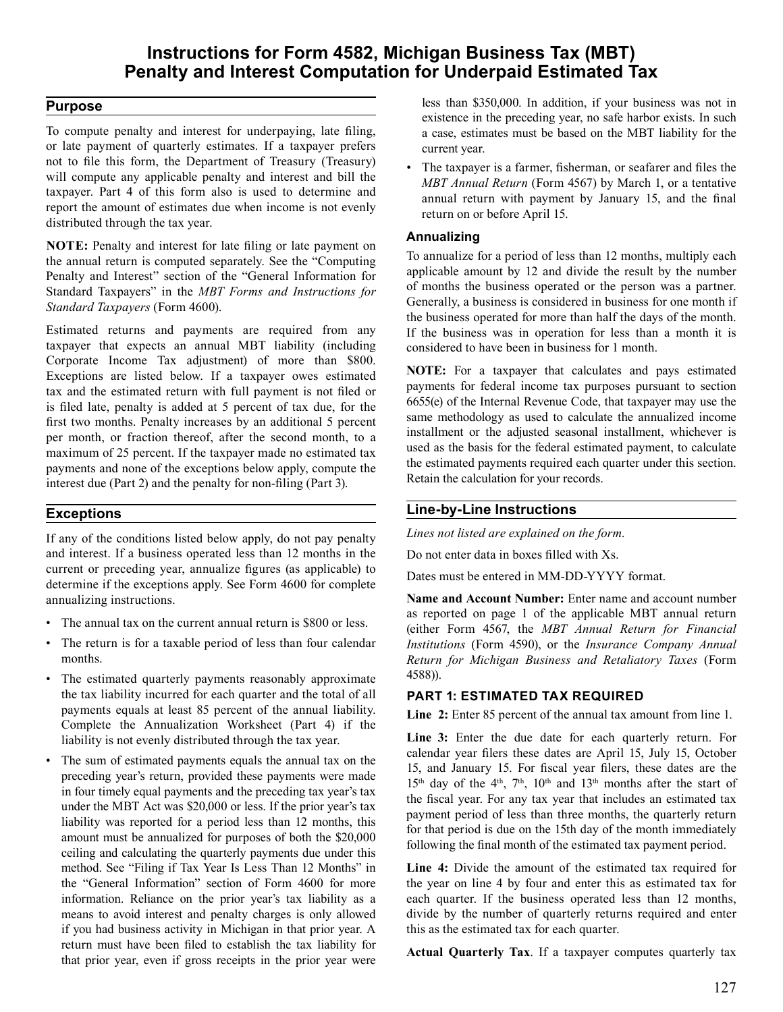# **Instructions for Form 4582, Michigan Business Tax (MBT) Penalty and Interest Computation for Underpaid Estimated Tax**

### **Purpose**

 To compute penalty and interest for underpaying, late filing, or late payment of quarterly estimates. If a taxpayer prefers not to file this form, the Department of Treasury (Treasury) will compute any applicable penalty and interest and bill the taxpayer. Part 4 of this form also is used to determine and report the amount of estimates due when income is not evenly distributed through the tax year.

 **NOTE:** Penalty and interest for late filing or late payment on the annual return is computed separately. See the "Computing Penalty and Interest" section of the "General Information for Standard Taxpayers" in the *MBT Forms and Instructions for Standard Taxpayers* (Form 4600).

 Estimated returns and payments are required from any taxpayer that expects an annual MBT liability (including Corporate Income Tax adjustment) of more than \$800. Exceptions are listed below. If a taxpayer owes estimated tax and the estimated return with full payment is not filed or is filed late, penalty is added at 5 percent of tax due, for the first two months. Penalty increases by an additional 5 percent per month, or fraction thereof, after the second month, to a maximum of 25 percent. If the taxpayer made no estimated tax payments and none of the exceptions below apply, compute the interest due (Part 2) and the penalty for non-filing (Part 3).

### **Exceptions**

 If any of the conditions listed below apply, do not pay penalty and interest. If a business operated less than 12 months in the current or preceding year, annualize figures (as applicable) to determine if the exceptions apply. See Form 4600 for complete annualizing instructions.

- The annual tax on the current annual return is \$800 or less.
- The return is for a taxable period of less than four calendar months.
- The estimated quarterly payments reasonably approximate the tax liability incurred for each quarter and the total of all payments equals at least 85 percent of the annual liability. Complete the Annualization Worksheet (Part 4) if the liability is not evenly distributed through the tax year.
- The sum of estimated payments equals the annual tax on the preceding year's return, provided these payments were made in four timely equal payments and the preceding tax year's tax under the MBT Act was \$20,000 or less. If the prior year's tax liability was reported for a period less than 12 months, this amount must be annualized for purposes of both the \$20,000 ceiling and calculating the quarterly payments due under this method. See "Filing if Tax Year Is Less Than 12 Months" in the "General Information" section of Form 4600 for more information. Reliance on the prior year's tax liability as a means to avoid interest and penalty charges is only allowed if you had business activity in Michigan in that prior year. A return must have been filed to establish the tax liability for that prior year, even if gross receipts in the prior year were

 less than \$350,000. In addition, if your business was not in existence in the preceding year, no safe harbor exists. In such a case, estimates must be based on the MBT liability for the current year.

 • The taxpayer is a farmer, fisherman, or seafarer and files the *MBT Annual Return* (Form 4567) by March 1, or a tentative annual return with payment by January 15, and the final return on or before April 15.

### **Annualizing**

 To annualize for a period of less than 12 months, multiply each applicable amount by 12 and divide the result by the number of months the business operated or the person was a partner. Generally, a business is considered in business for one month if the business operated for more than half the days of the month. If the business was in operation for less than a month it is considered to have been in business for 1 month.

 **NOTE:** For a taxpayer that calculates and pays estimated payments for federal income tax purposes pursuant to section 6655(e) of the Internal Revenue Code, that taxpayer may use the same methodology as used to calculate the annualized income installment or the adjusted seasonal installment, whichever is used as the basis for the federal estimated payment, to calculate the estimated payments required each quarter under this section. Retain the calculation for your records.

# **Line-by-Line Instructions**

*Lines not listed are explained on the form.* 

 Do not enter data in boxes filled with Xs.

 Dates must be entered in MM-DD-YYYY format.

 **Name and Account Number:** Enter name and account number as reported on page 1 of the applicable MBT annual return (either Form 4567, the *MBT Annual Return for Financial Institutions* (Form 4590), or the *Insurance Company Annual Return for Michigan Business and Retaliatory Taxes* (Form 4588)).

# **PART 1: ESTIMATED TAX REQUIRED**

 **Line 2:** Enter 85 percent of the annual tax amount from line 1.

 **Line 3:** Enter the due date for each quarterly return. For calendar year filers these dates are April 15, July 15, October 15, and January 15. For fiscal year filers, these dates are the  $15<sup>th</sup>$  day of the 4<sup>th</sup>, 7<sup>th</sup>, 10<sup>th</sup> and 13<sup>th</sup> months after the start of the fiscal year. For any tax year that includes an estimated tax payment period of less than three months, the quarterly return for that period is due on the 15th day of the month immediately following the final month of the estimated tax payment period.

 **Line 4:** Divide the amount of the estimated tax required for the year on line 4 by four and enter this as estimated tax for each quarter. If the business operated less than 12 months, divide by the number of quarterly returns required and enter this as the estimated tax for each quarter.

 **Actual Quarterly Tax**. If a taxpayer computes quarterly tax